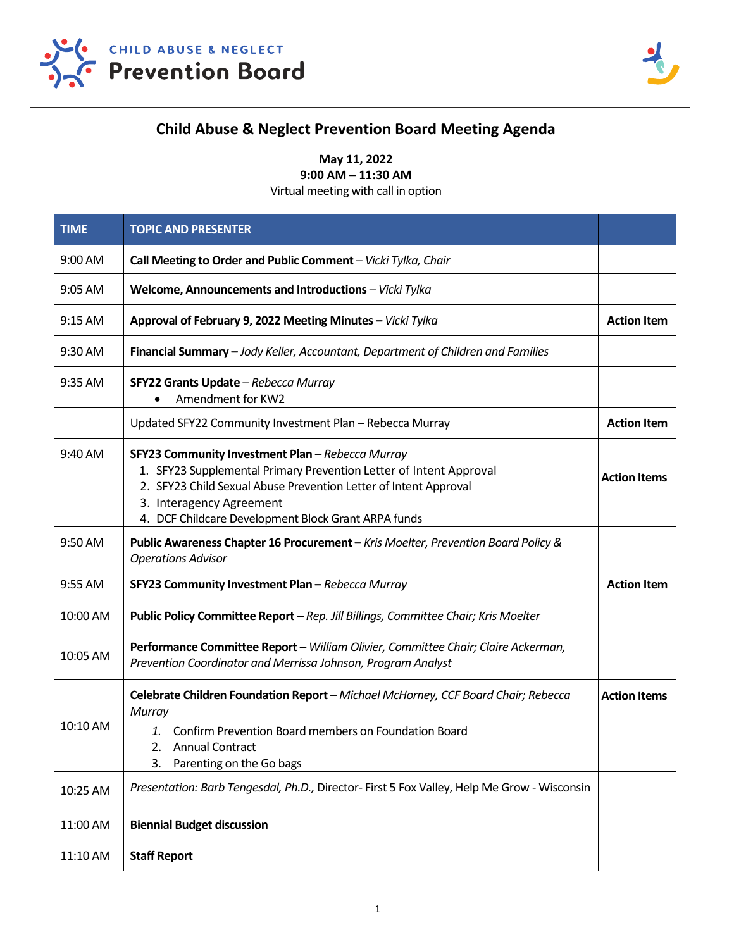



## **Child Abuse & Neglect Prevention Board Meeting Agenda**

**May 11, 2022**

**9:00 AM – 11:30 AM**

Virtual meeting with call in option

| <b>TIME</b> | <b>TOPIC AND PRESENTER</b>                                                                                                                                                                                                                                                    |                     |
|-------------|-------------------------------------------------------------------------------------------------------------------------------------------------------------------------------------------------------------------------------------------------------------------------------|---------------------|
| 9:00 AM     | Call Meeting to Order and Public Comment - Vicki Tylka, Chair                                                                                                                                                                                                                 |                     |
| 9:05 AM     | Welcome, Announcements and Introductions - Vicki Tylka                                                                                                                                                                                                                        |                     |
| $9:15$ AM   | Approval of February 9, 2022 Meeting Minutes - Vicki Tylka                                                                                                                                                                                                                    | <b>Action Item</b>  |
| 9:30 AM     | Financial Summary - Jody Keller, Accountant, Department of Children and Families                                                                                                                                                                                              |                     |
| 9:35 AM     | SFY22 Grants Update - Rebecca Murray<br>Amendment for KW2<br>$\bullet$                                                                                                                                                                                                        |                     |
|             | Updated SFY22 Community Investment Plan - Rebecca Murray                                                                                                                                                                                                                      | <b>Action Item</b>  |
| 9:40 AM     | SFY23 Community Investment Plan - Rebecca Murray<br>1. SFY23 Supplemental Primary Prevention Letter of Intent Approval<br>2. SFY23 Child Sexual Abuse Prevention Letter of Intent Approval<br>3. Interagency Agreement<br>4. DCF Childcare Development Block Grant ARPA funds | <b>Action Items</b> |
| 9:50 AM     | Public Awareness Chapter 16 Procurement - Kris Moelter, Prevention Board Policy &<br><b>Operations Advisor</b>                                                                                                                                                                |                     |
| 9:55 AM     | SFY23 Community Investment Plan - Rebecca Murray                                                                                                                                                                                                                              | <b>Action Item</b>  |
| 10:00 AM    | Public Policy Committee Report - Rep. Jill Billings, Committee Chair; Kris Moelter                                                                                                                                                                                            |                     |
| 10:05 AM    | Performance Committee Report - William Olivier, Committee Chair; Claire Ackerman,<br>Prevention Coordinator and Merrissa Johnson, Program Analyst                                                                                                                             |                     |
| 10:10 AM    | Celebrate Children Foundation Report - Michael McHorney, CCF Board Chair; Rebecca<br>Murray<br>Confirm Prevention Board members on Foundation Board<br>$\mathbf{1}$ .<br><b>Annual Contract</b><br>2.<br>Parenting on the Go bags<br>3.                                       | <b>Action Items</b> |
| 10:25 AM    | Presentation: Barb Tengesdal, Ph.D., Director- First 5 Fox Valley, Help Me Grow - Wisconsin                                                                                                                                                                                   |                     |
| 11:00 AM    | <b>Biennial Budget discussion</b>                                                                                                                                                                                                                                             |                     |
| 11:10 AM    | <b>Staff Report</b>                                                                                                                                                                                                                                                           |                     |